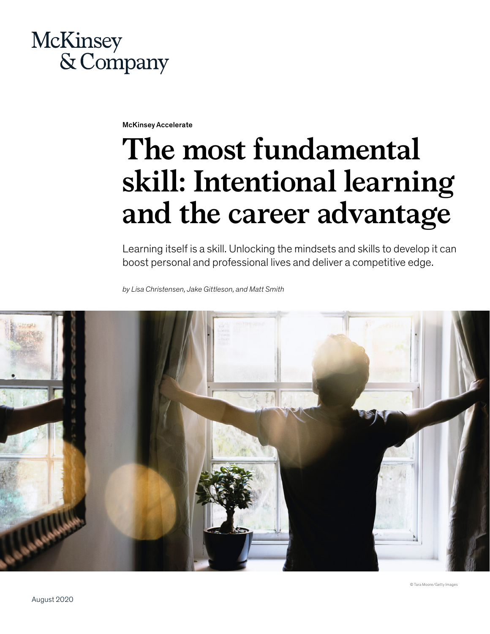## **McKinsey** & Company

McKinsey Accelerate

# **The most fundamental skill: Intentional learning and the career advantage**

Learning itself is a skill. Unlocking the mindsets and skills to develop it can boost personal and professional lives and deliver a competitive edge.

*by Lisa Christensen, Jake Gittleson, and Matt Smith*

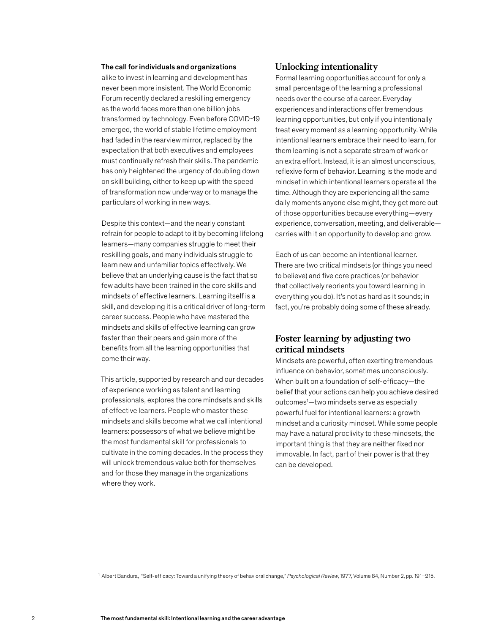#### The call for individuals and organizations

alike to invest in learning and development has never been more insistent. The World Economic Forum recently declared a reskilling emergency as the world faces more than one billion jobs transformed by technology. Even before COVID-19 emerged, the world of stable lifetime employment had faded in the rearview mirror, replaced by the expectation that both executives and employees must continually refresh their skills. The pandemic has only heightened the urgency of doubling down on skill building, either to keep up with the speed of transformation now underway or to manage the particulars of working in new ways.

Despite this context—and the nearly constant refrain for people to adapt to it by becoming lifelong learners—many companies struggle to meet their reskilling goals, and many individuals struggle to learn new and unfamiliar topics effectively. We believe that an underlying cause is the fact that so few adults have been trained in the core skills and mindsets of effective learners. Learning itself is a skill, and developing it is a critical driver of long-term career success. People who have mastered the mindsets and skills of effective learning can grow faster than their peers and gain more of the benefits from all the learning opportunities that come their way.

This article, supported by research and our decades of experience working as talent and learning professionals, explores the core mindsets and skills of effective learners. People who master these mindsets and skills become what we call intentional learners: possessors of what we believe might be the most fundamental skill for professionals to cultivate in the coming decades. In the process they will unlock tremendous value both for themselves and for those they manage in the organizations where they work.

#### **Unlocking intentionality**

Formal learning opportunities account for only a small percentage of the learning a professional needs over the course of a career. Everyday experiences and interactions offer tremendous learning opportunities, but only if you intentionally treat every moment as a learning opportunity. While intentional learners embrace their need to learn, for them learning is not a separate stream of work or an extra effort. Instead, it is an almost unconscious, reflexive form of behavior. Learning is the mode and mindset in which intentional learners operate all the time. Although they are experiencing all the same daily moments anyone else might, they get more out of those opportunities because everything—every experience, conversation, meeting, and deliverable carries with it an opportunity to develop and grow.

Each of us can become an intentional learner. There are two critical mindsets (or things you need to believe) and five core practices (or behavior that collectively reorients you toward learning in everything you do). It's not as hard as it sounds; in fact, you're probably doing some of these already.

#### **Foster learning by adjusting two critical mindsets**

Mindsets are powerful, often exerting tremendous influence on behavior, sometimes unconsciously. When built on a foundation of self-efficacy—the belief that your actions can help you achieve desired outcomes1 —two mindsets serve as especially powerful fuel for intentional learners: a growth mindset and a curiosity mindset. While some people may have a natural proclivity to these mindsets, the important thing is that they are neither fixed nor immovable. In fact, part of their power is that they can be developed.

<sup>1</sup> Albert Bandura, "Self-efficacy: Toward a unifying theory of behavioral change," *Psychological Review*, 1977, Volume 84, Number 2, pp. 191–215.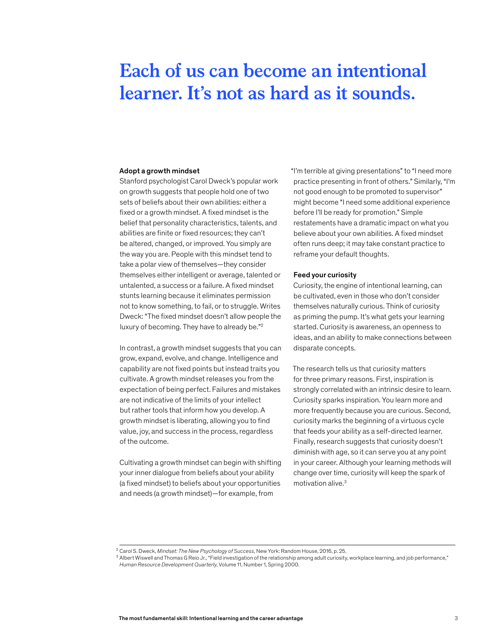## **Each of us can become an intentional learner. It's not as hard as it sounds.**

#### Adopt a growth mindset

Stanford psychologist Carol Dweck's popular work on growth suggests that people hold one of two sets of beliefs about their own abilities: either a fixed or a growth mindset. A fixed mindset is the belief that personality characteristics, talents, and abilities are finite or fixed resources; they can't be altered, changed, or improved. You simply are the way you are. People with this mindset tend to take a polar view of themselves—they consider themselves either intelligent or average, talented or untalented, a success or a failure. A fixed mindset stunts learning because it eliminates permission not to know something, to fail, or to struggle. Writes Dweck: "The fixed mindset doesn't allow people the luxury of becoming. They have to already be."<sup>2</sup>

In contrast, a growth mindset suggests that you can grow, expand, evolve, and change. Intelligence and capability are not fixed points but instead traits you cultivate. A growth mindset releases you from the expectation of being perfect. Failures and mistakes are not indicative of the limits of your intellect but rather tools that inform how you develop. A growth mindset is liberating, allowing you to find value, joy, and success in the process, regardless of the outcome.

Cultivating a growth mindset can begin with shifting your inner dialogue from beliefs about your ability (a fixed mindset) to beliefs about your opportunities and needs (a growth mindset)—for example, from

"I'm terrible at giving presentations" to "I need more practice presenting in front of others." Similarly, "I'm not good enough to be promoted to supervisor" might become "I need some additional experience before I'll be ready for promotion." Simple restatements have a dramatic impact on what you believe about your own abilities. A fixed mindset often runs deep; it may take constant practice to reframe your default thoughts.

#### Feed your curiosity

Curiosity, the engine of intentional learning, can be cultivated, even in those who don't consider themselves naturally curious. Think of curiosity as priming the pump. It's what gets your learning started. Curiosity is awareness, an openness to ideas, and an ability to make connections between disparate concepts.

The research tells us that curiosity matters for three primary reasons. First, inspiration is strongly correlated with an intrinsic desire to learn. Curiosity sparks inspiration. You learn more and more frequently because you are curious. Second, curiosity marks the beginning of a virtuous cycle that feeds your ability as a self-directed learner. Finally, research suggests that curiosity doesn't diminish with age, so it can serve you at any point in your career. Although your learning methods will change over time, curiosity will keep the spark of motivation alive.3

<sup>&</sup>lt;sup>2</sup> Carol S. Dweck, *Mindset: The New Psychology of Success*, New York: Random House, 2016, p. 25.<br><sup>3</sup> Albert Wiswell and Thomas G Reio Jr., "Field investigation of the relationship among adult curiosity, workplace learnin *Human Resource Development Quarterly*, Volume 11, Number 1, Spring 2000.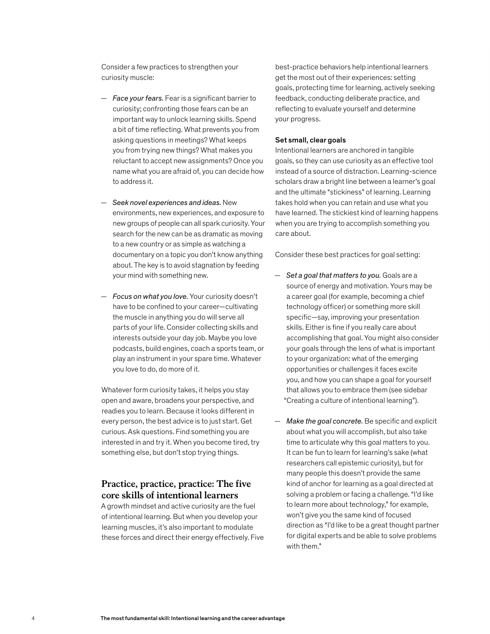Consider a few practices to strengthen your curiosity muscle:

- *Face your fears.* Fear is a significant barrier to curiosity; confronting those fears can be an important way to unlock learning skills. Spend a bit of time reflecting. What prevents you from asking questions in meetings? What keeps you from trying new things? What makes you reluctant to accept new assignments? Once you name what you are afraid of, you can decide how to address it.
- *Seek novel experiences and ideas.* New environments, new experiences, and exposure to new groups of people can all spark curiosity. Your search for the new can be as dramatic as moving to a new country or as simple as watching a documentary on a topic you don't know anything about. The key is to avoid stagnation by feeding your mind with something new.
- *Focus on what you love.* Your curiosity doesn't have to be confined to your career—cultivating the muscle in anything you do will serve all parts of your life. Consider collecting skills and interests outside your day job. Maybe you love podcasts, build engines, coach a sports team, or play an instrument in your spare time. Whatever you love to do, do more of it.

Whatever form curiosity takes, it helps you stay open and aware, broadens your perspective, and readies you to learn. Because it looks different in every person, the best advice is to just start. Get curious. Ask questions. Find something you are interested in and try it. When you become tired, try something else, but don't stop trying things.

#### **Practice, practice, practice: The five core skills of intentional learners**

A growth mindset and active curiosity are the fuel of intentional learning. But when you develop your learning muscles, it's also important to modulate these forces and direct their energy effectively. Five

best-practice behaviors help intentional learners get the most out of their experiences: setting goals, protecting time for learning, actively seeking feedback, conducting deliberate practice, and reflecting to evaluate yourself and determine your progress.

#### Set small, clear goals

Intentional learners are anchored in tangible goals, so they can use curiosity as an effective tool instead of a source of distraction. Learning-science scholars draw a bright line between a learner's goal and the ultimate "stickiness" of learning. Learning takes hold when you can retain and use what you have learned. The stickiest kind of learning happens when you are trying to accomplish something you care about.

Consider these best practices for goal setting:

- *Set a goal that matters to you.* Goals are a source of energy and motivation. Yours may be a career goal (for example, becoming a chief technology officer) or something more skill specific—say, improving your presentation skills. Either is fine if you really care about accomplishing that goal. You might also consider your goals through the lens of what is important to your organization: what of the emerging opportunities or challenges it faces excite you, and how you can shape a goal for yourself that allows you to embrace them (see sidebar "Creating a culture of intentional learning").
- *Make the goal concrete.* Be specific and explicit about what you will accomplish, but also take time to articulate why this goal matters to you. It can be fun to learn for learning's sake (what researchers call epistemic curiosity), but for many people this doesn't provide the same kind of anchor for learning as a goal directed at solving a problem or facing a challenge. "I'd like to learn more about technology," for example, won't give you the same kind of focused direction as "I'd like to be a great thought partner for digital experts and be able to solve problems with them."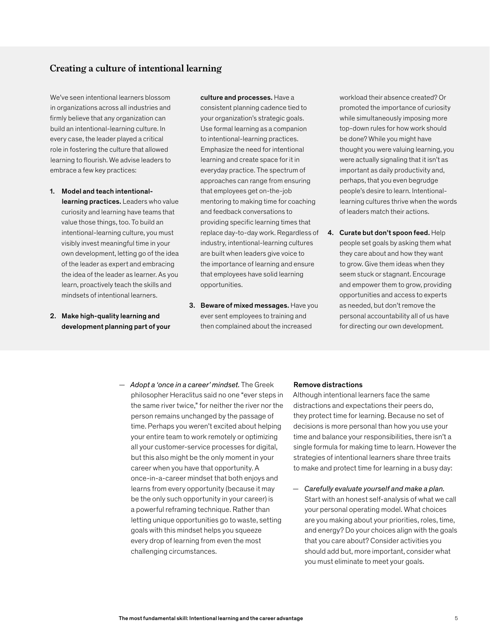#### **Creating a culture of intentional learning**

We've seen intentional learners blossom in organizations across all industries and firmly believe that any organization can build an intentional-learning culture. In every case, the leader played a critical role in fostering the culture that allowed learning to flourish. We advise leaders to embrace a few key practices:

- 1. Model and teach intentionallearning practices. Leaders who value curiosity and learning have teams that value those things, too. To build an intentional-learning culture, you must visibly invest meaningful time in your own development, letting go of the idea of the leader as expert and embracing the idea of the leader as learner. As you learn, proactively teach the skills and mindsets of intentional learners.
- 2. Make high-quality learning and development planning part of your

#### culture and processes. Have a

consistent planning cadence tied to your organization's strategic goals. Use formal learning as a companion to intentional-learning practices. Emphasize the need for intentional learning and create space for it in everyday practice. The spectrum of approaches can range from ensuring that employees get on-the-job mentoring to making time for coaching and feedback conversations to providing specific learning times that replace day-to-day work. Regardless of industry, intentional-learning cultures are built when leaders give voice to the importance of learning and ensure that employees have solid learning opportunities.

3. Beware of mixed messages. Have you ever sent employees to training and then complained about the increased

workload their absence created? Or promoted the importance of curiosity while simultaneously imposing more top-down rules for how work should be done? While you might have thought you were valuing learning, you were actually signaling that it isn't as important as daily productivity and, perhaps, that you even begrudge people's desire to learn. Intentionallearning cultures thrive when the words of leaders match their actions.

4. Curate but don't spoon feed. Help people set goals by asking them what they care about and how they want to grow. Give them ideas when they seem stuck or stagnant. Encourage and empower them to grow, providing opportunities and access to experts as needed, but don't remove the personal accountability all of us have for directing our own development.

— *Adopt a 'once in a career' mindset.* The Greek philosopher Heraclitus said no one "ever steps in the same river twice," for neither the river nor the person remains unchanged by the passage of time. Perhaps you weren't excited about helping your entire team to work remotely or optimizing all your customer-service processes for digital, but this also might be the only moment in your career when you have that opportunity. A once-in-a-career mindset that both enjoys and learns from every opportunity (because it may be the only such opportunity in your career) is a powerful reframing technique. Rather than letting unique opportunities go to waste, setting goals with this mindset helps you squeeze every drop of learning from even the most challenging circumstances.

#### Remove distractions

Although intentional learners face the same distractions and expectations their peers do, they protect time for learning. Because no set of decisions is more personal than how you use your time and balance your responsibilities, there isn't a single formula for making time to learn. However the strategies of intentional learners share three traits to make and protect time for learning in a busy day:

— *Carefully evaluate yourself and make a plan.*  Start with an honest self-analysis of what we call your personal operating model. What choices are you making about your priorities, roles, time, and energy? Do your choices align with the goals that you care about? Consider activities you should add but, more important, consider what you must eliminate to meet your goals.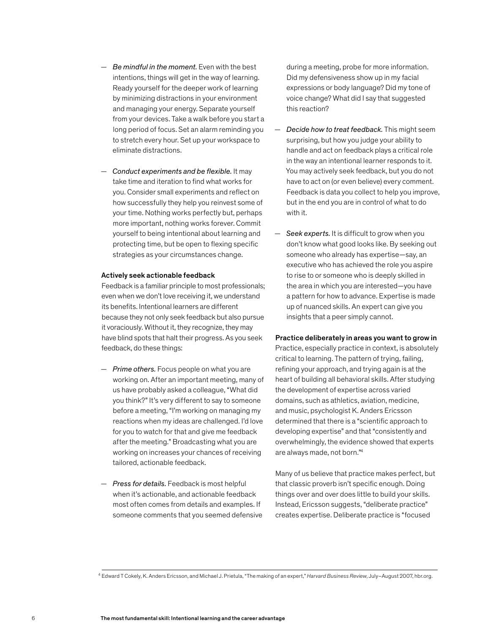- *Be mindful in the moment.* Even with the best intentions, things will get in the way of learning. Ready yourself for the deeper work of learning by minimizing distractions in your environment and managing your energy. Separate yourself from your devices. Take a walk before you start a long period of focus. Set an alarm reminding you to stretch every hour. Set up your workspace to eliminate distractions.
- *Conduct experiments and be flexible.* It may take time and iteration to find what works for you. Consider small experiments and reflect on how successfully they help you reinvest some of your time. Nothing works perfectly but, perhaps more important, nothing works forever. Commit yourself to being intentional about learning and protecting time, but be open to flexing specific strategies as your circumstances change.

#### Actively seek actionable feedback

Feedback is a familiar principle to most professionals; even when we don't love receiving it, we understand its benefits. Intentional learners are different because they not only seek feedback but also pursue it voraciously. Without it, they recognize, they may have blind spots that halt their progress. As you seek feedback, do these things:

- *Prime others.* Focus people on what you are working on. After an important meeting, many of us have probably asked a colleague, "What did you think?" It's very different to say to someone before a meeting, "I'm working on managing my reactions when my ideas are challenged. I'd love for you to watch for that and give me feedback after the meeting." Broadcasting what you are working on increases your chances of receiving tailored, actionable feedback.
- *Press for details.* Feedback is most helpful when it's actionable, and actionable feedback most often comes from details and examples. If someone comments that you seemed defensive

during a meeting, probe for more information. Did my defensiveness show up in my facial expressions or body language? Did my tone of voice change? What did I say that suggested this reaction?

- *Decide how to treat feedback.* This might seem surprising, but how you judge your ability to handle and act on feedback plays a critical role in the way an intentional learner responds to it. You may actively seek feedback, but you do not have to act on (or even believe) every comment. Feedback is data you collect to help you improve, but in the end you are in control of what to do with it.
- *Seek experts.* It is difficult to grow when you don't know what good looks like. By seeking out someone who already has expertise—say, an executive who has achieved the role you aspire to rise to or someone who is deeply skilled in the area in which you are interested—you have a pattern for how to advance. Expertise is made up of nuanced skills. An expert can give you insights that a peer simply cannot.

#### Practice deliberately in areas you want to grow in

Practice, especially practice in context, is absolutely critical to learning. The pattern of trying, failing, refining your approach, and trying again is at the heart of building all behavioral skills. After studying the development of expertise across varied domains, such as athletics, aviation, medicine, and music, psychologist K. Anders Ericsson determined that there is a "scientific approach to developing expertise" and that "consistently and overwhelmingly, the evidence showed that experts are always made, not born."4

Many of us believe that practice makes perfect, but that classic proverb isn't specific enough. Doing things over and over does little to build your skills. Instead, Ericsson suggests, "deliberate practice" creates expertise. Deliberate practice is "focused

<sup>4</sup> Edward T Cokely, K. Anders Ericsson, and Michael J. Prietula, "The making of an expert," *Harvard Business Review*, July–August 2007, hbr.org.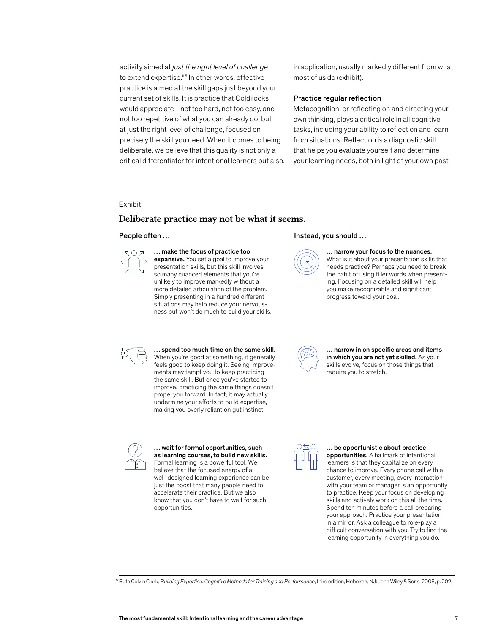activity aimed at *just the right level of challenge* to extend expertise."<sup>5</sup> In other words, effective practice is aimed at the skill gaps just beyond your current set of skills. It is practice that Goldilocks would appreciate—not too hard, not too easy, and not too repetitive of what you can already do, but at just the right level of challenge, focused on precisely the skill you need. When it comes to being deliberate, we believe that this quality is not only a critical differentiator for intentional learners but also, in application, usually markedly different from what most of us do (exhibit).

#### Practice regular reflection

Metacognition, or reflecting on and directing your own thinking, plays a critical role in all cognitive tasks, including your ability to reflect on and learn from situations. Reflection is a diagnostic skill that helps you evaluate yourself and determine your learning needs, both in light of your own past

Exhibit

### Deliberate practice may not be what it seems. **Deliberate practice may not be what it seems.**



#### … make the focus of practice too

expansive. You set a goal to improve your presentation skills, but this skill involves so many nuanced elements that you're unlikely to improve markedly without a more detailed articulation of the problem. Simply presenting in a hundred different situations may help reduce your nervousness but won't do much to build your skills.

#### People often … The contract of the last of the line of the line of the line of the line of the line of the line of the line of the line of the line of the line of the line of the line of the line of the line of the line of



#### … narrow your focus to the nuances.

What is it about your presentation skills that needs practice? Perhaps you need to break the habit of using filler words when presenting. Focusing on a detailed skill will help you make recognizable and significant progress toward your goal.



… spend too much time on the same skill. When you're good at something, it generally feels good to keep doing it. Seeing improvements may tempt you to keep practicing the same skill. But once you've started to improve, practicing the same things doesn't propel you forward. In fact, it may actually undermine your efforts to build expertise, making you overly reliant on gut instinct.



... narrow in on specific areas and items in which you are not yet skilled. As your skills evolve, focus on those things that require you to stretch.



… wait for formal opportunities, such as learning courses, to build new skills. Formal learning is a powerful tool. We believe that the focused energy of a well-designed learning experience can be just the boost that many people need to accelerate their practice. But we also know that you don't have to wait for such opportunities.



… be opportunistic about practice opportunities. A hallmark of intentional learners is that they capitalize on every chance to improve. Every phone call with a customer, every meeting, every interaction with your team or manager is an opportunity to practice. Keep your focus on developing skills and actively work on this all the time. Spend ten minutes before a call preparing your approach. Practice your presentation in a mirror. Ask a colleague to role-play a difficult conversation with you. Try to find the learning opportunity in everything you do.

<sup>5</sup> Ruth Colvin Clark, *Building Expertise: Cognitive Methods for Training and Performance*, third edition, Hoboken, NJ: John Wiley & Sons, 2008, p. 202.